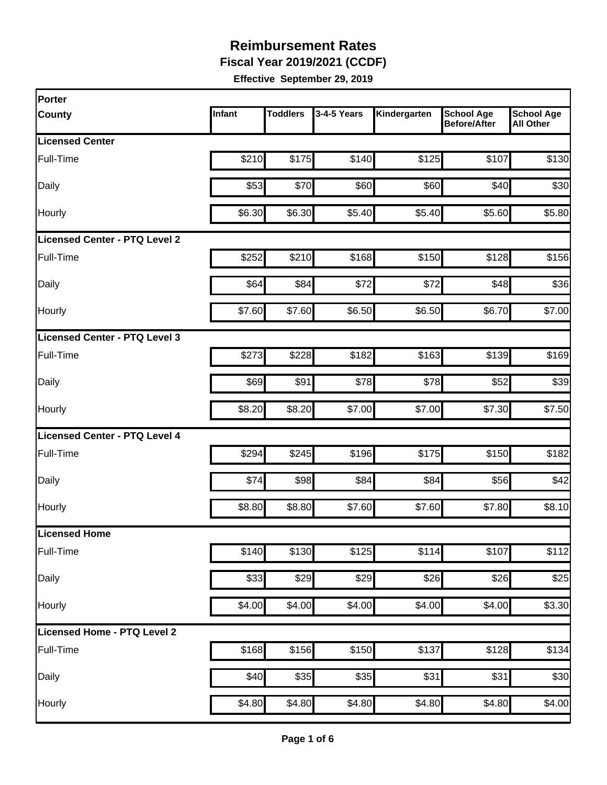**Fiscal Year 2019/2021 (CCDF)** 

| Porter                               |        |                 |             |              |                                          |                                       |
|--------------------------------------|--------|-----------------|-------------|--------------|------------------------------------------|---------------------------------------|
| <b>County</b>                        | Infant | <b>Toddlers</b> | 3-4-5 Years | Kindergarten | <b>School Age</b><br><b>Before/After</b> | <b>School Age</b><br><b>All Other</b> |
| <b>Licensed Center</b>               |        |                 |             |              |                                          |                                       |
| Full-Time                            | \$210  | \$175           | \$140       | \$125        | \$107                                    | \$130                                 |
| Daily                                | \$53   | \$70            | \$60        | \$60         | \$40                                     | \$30                                  |
| Hourly                               | \$6.30 | \$6.30          | \$5.40      | \$5.40       | \$5.60                                   | \$5.80                                |
| <b>Licensed Center - PTQ Level 2</b> |        |                 |             |              |                                          |                                       |
| Full-Time                            | \$252  | \$210           | \$168]      | \$150        | \$128                                    | \$156                                 |
| Daily                                | \$64   | \$84            | \$72        | \$72         | \$48                                     | \$36                                  |
| Hourly                               | \$7.60 | \$7.60          | \$6.50      | \$6.50       | \$6.70                                   | \$7.00                                |
| Licensed Center - PTQ Level 3        |        |                 |             |              |                                          |                                       |
| Full-Time                            | \$273  | \$228           | \$182       | \$163        | \$139                                    | \$169                                 |
| Daily                                | \$69   | \$91            | \$78        | \$78         | \$52                                     | \$39                                  |
| Hourly                               | \$8.20 | \$8.20          | \$7.00      | \$7.00       | \$7.30                                   | \$7.50                                |
| <b>Licensed Center - PTQ Level 4</b> |        |                 |             |              |                                          |                                       |
| Full-Time                            | \$294  | \$245           | \$196       | \$175        | \$150                                    | \$182                                 |
| Daily                                | \$74   | \$98            | \$84        | \$84         | \$56                                     | \$42                                  |
| Hourly                               | \$8.80 | \$8.80          | \$7.60      | \$7.60       | \$7.80                                   | \$8.10                                |
| Licensed Home                        |        |                 |             |              |                                          |                                       |
| Full-Time                            | \$140  | \$130           | \$125       | \$114        | \$107                                    | \$112                                 |
| Daily                                | \$33   | \$29            | \$29        | \$26         | \$26                                     | \$25                                  |
| Hourly                               | \$4.00 | \$4.00          | \$4.00      | \$4.00       | \$4.00                                   | \$3.30                                |
| Licensed Home - PTQ Level 2          |        |                 |             |              |                                          |                                       |
| Full-Time                            | \$168  | \$156           | \$150       | \$137        | \$128                                    | \$134                                 |
| Daily                                | \$40   | \$35            | \$35        | \$31         | \$31                                     | \$30                                  |
| Hourly                               | \$4.80 | \$4.80          | \$4.80      | \$4.80       | \$4.80                                   | \$4.00                                |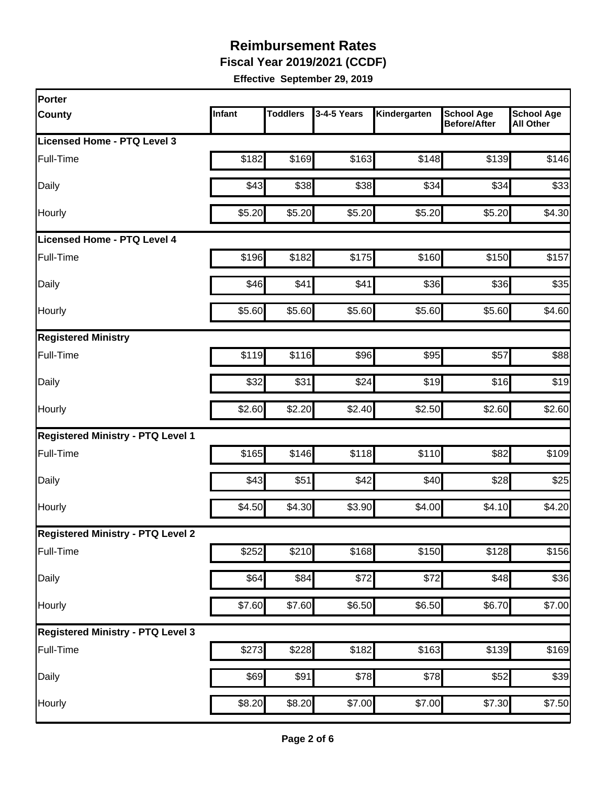**Fiscal Year 2019/2021 (CCDF)** 

| Porter                                   |        |                 |             |              |                                          |                                       |
|------------------------------------------|--------|-----------------|-------------|--------------|------------------------------------------|---------------------------------------|
| <b>County</b>                            | Infant | <b>Toddlers</b> | 3-4-5 Years | Kindergarten | <b>School Age</b><br><b>Before/After</b> | <b>School Age</b><br><b>All Other</b> |
| Licensed Home - PTQ Level 3              |        |                 |             |              |                                          |                                       |
| Full-Time                                | \$182  | \$169           | \$163       | \$148        | \$139                                    | \$146                                 |
| Daily                                    | \$43   | \$38            | \$38        | \$34         | \$34                                     | \$33                                  |
| Hourly                                   | \$5.20 | \$5.20          | \$5.20      | \$5.20       | \$5.20                                   | \$4.30                                |
| Licensed Home - PTQ Level 4              |        |                 |             |              |                                          |                                       |
| Full-Time                                | \$196  | \$182           | \$175       | \$160        | \$150                                    | \$157                                 |
| Daily                                    | \$46   | \$41            | \$41        | \$36         | \$36                                     | \$35                                  |
| Hourly                                   | \$5.60 | \$5.60          | \$5.60      | \$5.60       | \$5.60                                   | \$4.60                                |
| <b>Registered Ministry</b>               |        |                 |             |              |                                          |                                       |
| Full-Time                                | \$119  | \$116           | \$96        | \$95         | \$57                                     | \$88                                  |
| Daily                                    | \$32   | \$31            | \$24        | \$19         | \$16                                     | \$19                                  |
| Hourly                                   | \$2.60 | \$2.20          | \$2.40      | \$2.50       | \$2.60                                   | \$2.60                                |
| <b>Registered Ministry - PTQ Level 1</b> |        |                 |             |              |                                          |                                       |
| Full-Time                                | \$165  | \$146           | \$118       | \$110        | \$82                                     | \$109                                 |
| Daily                                    | \$43   | \$51            | \$42        | \$40         | \$28                                     | \$25                                  |
| Hourly                                   | \$4.50 | \$4.30          | \$3.90      | \$4.00       | \$4.10                                   | \$4.20                                |
| <b>Registered Ministry - PTQ Level 2</b> |        |                 |             |              |                                          |                                       |
| Full-Time                                | \$252  | \$210           | \$168       | \$150        | \$128                                    | \$156                                 |
| Daily                                    | \$64   | \$84            | \$72        | \$72         | \$48                                     | \$36                                  |
| Hourly                                   | \$7.60 | \$7.60          | \$6.50      | \$6.50       | \$6.70                                   | \$7.00                                |
| <b>Registered Ministry - PTQ Level 3</b> |        |                 |             |              |                                          |                                       |
| Full-Time                                | \$273  | \$228           | \$182       | \$163        | \$139                                    | \$169                                 |
| Daily                                    | \$69   | \$91            | \$78        | \$78         | \$52                                     | \$39                                  |
| Hourly                                   | \$8.20 | \$8.20          | \$7.00      | \$7.00       | \$7.30                                   | \$7.50                                |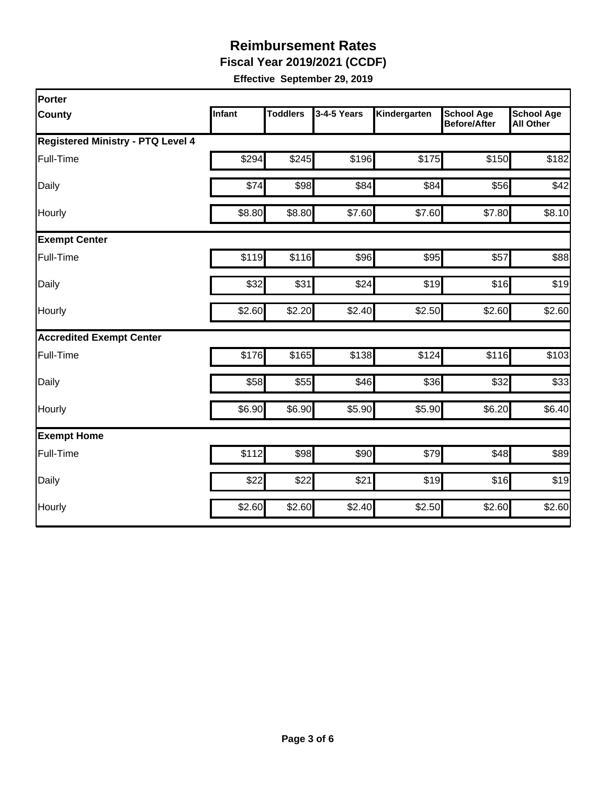**Fiscal Year 2019/2021 (CCDF)** 

| Porter                                   |               |                 |             |              |                                          |                                       |
|------------------------------------------|---------------|-----------------|-------------|--------------|------------------------------------------|---------------------------------------|
| <b>County</b>                            | <b>Infant</b> | <b>Toddlers</b> | 3-4-5 Years | Kindergarten | <b>School Age</b><br><b>Before/After</b> | <b>School Age</b><br><b>All Other</b> |
| <b>Registered Ministry - PTQ Level 4</b> |               |                 |             |              |                                          |                                       |
| Full-Time                                | \$294         | \$245           | \$196       | \$175        | \$150                                    | \$182                                 |
| Daily                                    | \$74          | \$98            | \$84        | \$84         | \$56                                     | \$42                                  |
| Hourly                                   | \$8.80        | \$8.80          | \$7.60      | \$7.60       | \$7.80                                   | \$8.10                                |
| <b>Exempt Center</b>                     |               |                 |             |              |                                          |                                       |
| Full-Time                                | \$119         | \$116           | \$96        | \$95         | \$57                                     | \$88                                  |
| Daily                                    | \$32          | \$31            | \$24        | \$19         | \$16                                     | \$19                                  |
| Hourly                                   | \$2.60        | \$2.20          | \$2.40      | \$2.50       | \$2.60                                   | \$2.60                                |
| <b>Accredited Exempt Center</b>          |               |                 |             |              |                                          |                                       |
| Full-Time                                | \$176         | \$165           | \$138       | \$124        | \$116                                    | \$103                                 |
| Daily                                    | \$58          | \$55            | \$46        | \$36         | \$32                                     | \$33                                  |
| Hourly                                   | \$6.90        | \$6.90          | \$5.90      | \$5.90       | \$6.20                                   | \$6.40                                |
| <b>Exempt Home</b>                       |               |                 |             |              |                                          |                                       |
| Full-Time                                | \$112         | \$98            | \$90        | \$79         | \$48                                     | \$89                                  |
| Daily                                    | \$22          | \$22            | \$21        | \$19         | \$16                                     | \$19                                  |
| Hourly                                   | \$2.60        | \$2.60          | \$2.40      | \$2.50       | \$2.60                                   | \$2.60                                |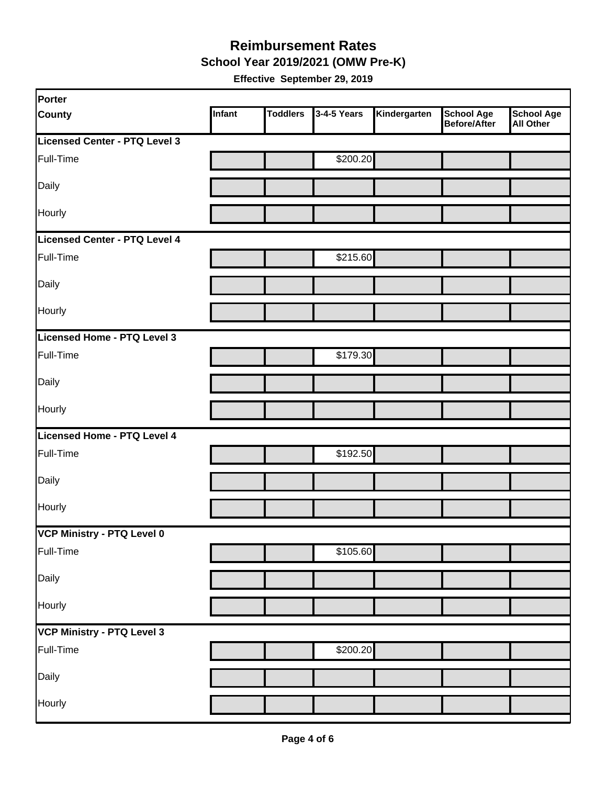**School Year 2019/2021 (OMW Pre-K)** 

| Porter                            |        |                 |             |              |                                   |                         |
|-----------------------------------|--------|-----------------|-------------|--------------|-----------------------------------|-------------------------|
| <b>County</b>                     | Infant | <b>Toddlers</b> | 3-4-5 Years | Kindergarten | <b>School Age</b><br>Before/After | School Age<br>All Other |
| Licensed Center - PTQ Level 3     |        |                 |             |              |                                   |                         |
| Full-Time                         |        |                 | \$200.20    |              |                                   |                         |
| Daily                             |        |                 |             |              |                                   |                         |
| Hourly                            |        |                 |             |              |                                   |                         |
| Licensed Center - PTQ Level 4     |        |                 |             |              |                                   |                         |
| Full-Time                         |        |                 | \$215.60    |              |                                   |                         |
| Daily                             |        |                 |             |              |                                   |                         |
| Hourly                            |        |                 |             |              |                                   |                         |
| Licensed Home - PTQ Level 3       |        |                 |             |              |                                   |                         |
| Full-Time                         |        |                 | \$179.30    |              |                                   |                         |
| Daily                             |        |                 |             |              |                                   |                         |
| Hourly                            |        |                 |             |              |                                   |                         |
| Licensed Home - PTQ Level 4       |        |                 |             |              |                                   |                         |
| Full-Time                         |        |                 | \$192.50    |              |                                   |                         |
| Daily                             |        |                 |             |              |                                   |                         |
| Hourly                            |        |                 |             |              |                                   |                         |
| VCP Ministry - PTQ Level 0        |        |                 |             |              |                                   |                         |
| Full-Time                         |        |                 | \$105.60    |              |                                   |                         |
| Daily                             |        |                 |             |              |                                   |                         |
| Hourly                            |        |                 |             |              |                                   |                         |
| <b>VCP Ministry - PTQ Level 3</b> |        |                 |             |              |                                   |                         |
| Full-Time                         |        |                 | \$200.20    |              |                                   |                         |
| Daily                             |        |                 |             |              |                                   |                         |
| Hourly                            |        |                 |             |              |                                   |                         |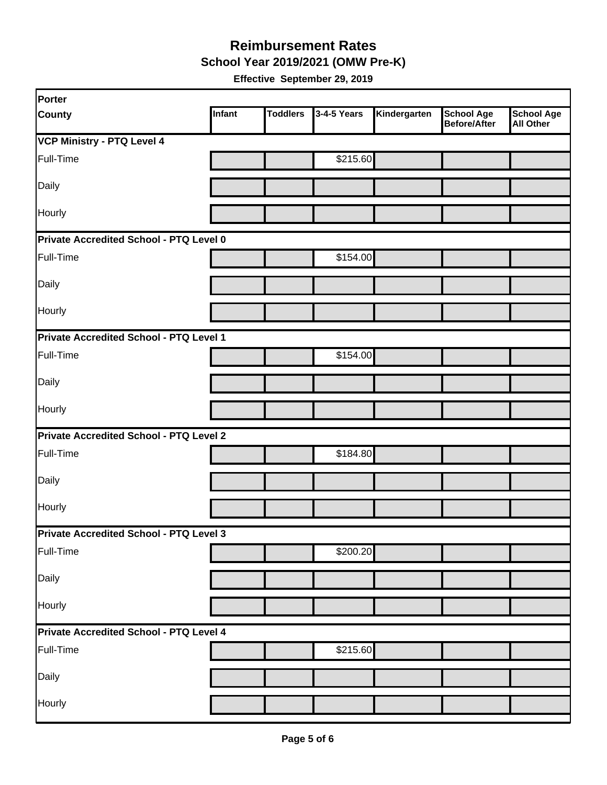**School Year 2019/2021 (OMW Pre-K)** 

| Porter                                  |               |                 |             |              |                                   |                                       |
|-----------------------------------------|---------------|-----------------|-------------|--------------|-----------------------------------|---------------------------------------|
| <b>County</b>                           | <b>Infant</b> | <b>Toddlers</b> | 3-4-5 Years | Kindergarten | <b>School Age</b><br>Before/After | <b>School Age</b><br><b>All Other</b> |
| <b>VCP Ministry - PTQ Level 4</b>       |               |                 |             |              |                                   |                                       |
| Full-Time                               |               |                 | \$215.60    |              |                                   |                                       |
| Daily                                   |               |                 |             |              |                                   |                                       |
| Hourly                                  |               |                 |             |              |                                   |                                       |
| Private Accredited School - PTQ Level 0 |               |                 |             |              |                                   |                                       |
| Full-Time                               |               |                 | \$154.00    |              |                                   |                                       |
| Daily                                   |               |                 |             |              |                                   |                                       |
| Hourly                                  |               |                 |             |              |                                   |                                       |
| Private Accredited School - PTQ Level 1 |               |                 |             |              |                                   |                                       |
| Full-Time                               |               |                 | \$154.00    |              |                                   |                                       |
| Daily                                   |               |                 |             |              |                                   |                                       |
| <b>Hourly</b>                           |               |                 |             |              |                                   |                                       |
| Private Accredited School - PTQ Level 2 |               |                 |             |              |                                   |                                       |
| Full-Time                               |               |                 | \$184.80    |              |                                   |                                       |
| Daily                                   |               |                 |             |              |                                   |                                       |
| Hourly                                  |               |                 |             |              |                                   |                                       |
| Private Accredited School - PTQ Level 3 |               |                 |             |              |                                   |                                       |
| Full-Time                               |               |                 | \$200.20    |              |                                   |                                       |
| Daily                                   |               |                 |             |              |                                   |                                       |
| Hourly                                  |               |                 |             |              |                                   |                                       |
| Private Accredited School - PTQ Level 4 |               |                 |             |              |                                   |                                       |
| Full-Time                               |               |                 | \$215.60    |              |                                   |                                       |
| Daily                                   |               |                 |             |              |                                   |                                       |
| Hourly                                  |               |                 |             |              |                                   |                                       |